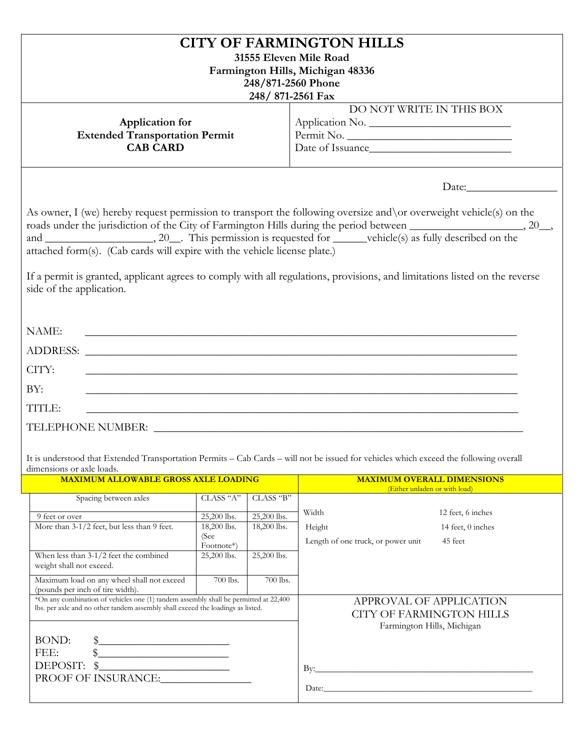| <b>CITY OF FARMINGTON HILLS</b><br>31555 Eleven Mile Road<br>Farmington Hills, Michigan 48336<br>248/871-2560 Phone<br>248/871-2561 Fax                                                                                                                                                                                                                                                |                                                                              |                                                           |                                                                                                                                                                                                                                                                                                                                                                           |  |  |
|----------------------------------------------------------------------------------------------------------------------------------------------------------------------------------------------------------------------------------------------------------------------------------------------------------------------------------------------------------------------------------------|------------------------------------------------------------------------------|-----------------------------------------------------------|---------------------------------------------------------------------------------------------------------------------------------------------------------------------------------------------------------------------------------------------------------------------------------------------------------------------------------------------------------------------------|--|--|
| Application for<br><b>Extended Transportation Permit</b><br><b>CAB CARD</b>                                                                                                                                                                                                                                                                                                            |                                                                              | DO NOT WRITE IN THIS BOX<br>Application No.<br>Permit No. |                                                                                                                                                                                                                                                                                                                                                                           |  |  |
| attached form(s). (Cab cards will expire with the vehicle license plate.)<br>side of the application.<br>NAME:<br><u> 1989 - Johann John Stone, market fan de Fryske kunstner en fan de fan de fan de fan de fan de fan de fan de f</u>                                                                                                                                                |                                                                              |                                                           | As owner, I (we) hereby request permission to transport the following oversize and \or overweight vehicle(s) on the<br>roads under the jurisdiction of the City of Farmington Hills during the period between ______________________, 20__,<br>If a permit is granted, applicant agrees to comply with all regulations, provisions, and limitations listed on the reverse |  |  |
| CITY:<br><u> 1989 - Johann Stoff, amerikansk politiker (d. 1989)</u><br>BY:<br><u> 1989 - Johann Stoff, amerikansk politiker (d. 1989)</u><br>TITLE:<br>TELEPHONE NUMBER: LEARNING CONTROLLER CONTROLLER CONTROLLER CONTROLLER CONTROLLER CONTROLLER CONTROLLER CONTROLLER CONTROLLER CONTROLLER CONTROLLER CONTROLLER CONTROLLER CONTROLLER CONTROLLER CONTROLLER CONTROLLER CONTROLL |                                                                              |                                                           |                                                                                                                                                                                                                                                                                                                                                                           |  |  |
| dimensions or axle loads.<br><b>MAXIMUM ALLOWABLE GROSS AXLE LOADING</b>                                                                                                                                                                                                                                                                                                               |                                                                              |                                                           | It is understood that Extended Transportation Permits - Cab Cards - will not be issued for vehicles which exceed the following overall<br><b>MAXIMUM OVERALL DIMENSIONS</b>                                                                                                                                                                                               |  |  |
|                                                                                                                                                                                                                                                                                                                                                                                        |                                                                              |                                                           | (Either unladen or with load)                                                                                                                                                                                                                                                                                                                                             |  |  |
| Spacing between axles<br>9 feet or over<br>More than 3-1/2 feet, but less than 9 feet.<br>When less than $3-1/2$ feet the combined<br>weight shall not exceed.                                                                                                                                                                                                                         | CLASS "A"<br>25,200 lbs.<br>18,200 lbs.<br>(See<br>Footnote*)<br>25,200 lbs. | CLASS "B"<br>25,200 lbs.<br>18,200 lbs.<br>25,200 lbs.    | Width<br>12 feet, 6 inches<br>Height<br>14 feet, 0 inches<br>Length of one truck, or power unit<br>45 feet                                                                                                                                                                                                                                                                |  |  |
| Maximum load on any wheel shall not exceed<br>(pounds per inch of tire width).<br>*On any combination of vehicles one (1) tandem assembly shall be permitted at 22,400<br>lbs. per axle and no other tandem assembly shall exceed the loadings as listed.                                                                                                                              | 700 lbs.                                                                     | 700 lbs.                                                  | APPROVAL OF APPLICATION<br><b>CITY OF FARMINGTON HILLS</b>                                                                                                                                                                                                                                                                                                                |  |  |
| BOND:<br>$\frac{1}{2}$<br>FEE:<br>\$<br>DEPOSIT: $\frac{1}{2}$<br>PROOF OF INSURANCE:                                                                                                                                                                                                                                                                                                  |                                                                              |                                                           | Farmington Hills, Michigan                                                                                                                                                                                                                                                                                                                                                |  |  |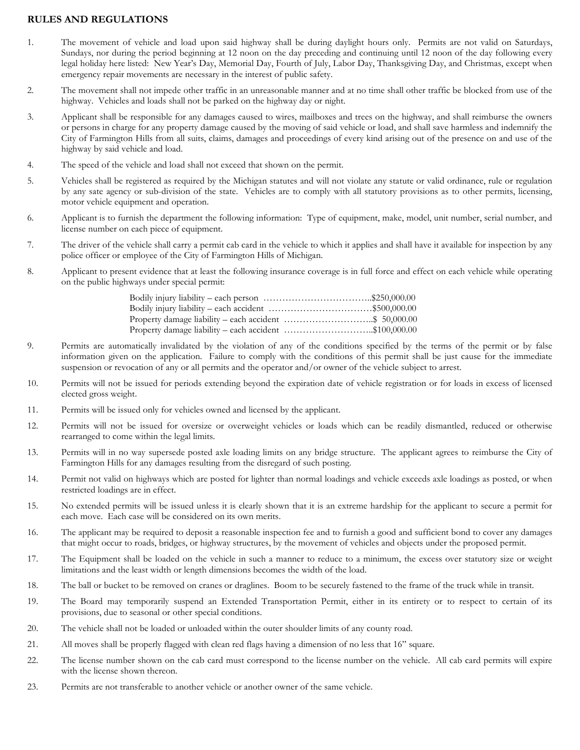## **RULES AND REGULATIONS**

- 1. The movement of vehicle and load upon said highway shall be during daylight hours only. Permits are not valid on Saturdays, Sundays, nor during the period beginning at 12 noon on the day preceding and continuing until 12 noon of the day following every legal holiday here listed: New Year's Day, Memorial Day, Fourth of July, Labor Day, Thanksgiving Day, and Christmas, except when emergency repair movements are necessary in the interest of public safety.
- 2. The movement shall not impede other traffic in an unreasonable manner and at no time shall other traffic be blocked from use of the highway. Vehicles and loads shall not be parked on the highway day or night.
- 3. Applicant shall be responsible for any damages caused to wires, mailboxes and trees on the highway, and shall reimburse the owners or persons in charge for any property damage caused by the moving of said vehicle or load, and shall save harmless and indemnify the City of Farmington Hills from all suits, claims, damages and proceedings of every kind arising out of the presence on and use of the highway by said vehicle and load.
- 4. The speed of the vehicle and load shall not exceed that shown on the permit.
- 5. Vehicles shall be registered as required by the Michigan statutes and will not violate any statute or valid ordinance, rule or regulation by any sate agency or sub-division of the state. Vehicles are to comply with all statutory provisions as to other permits, licensing, motor vehicle equipment and operation.
- 6. Applicant is to furnish the department the following information: Type of equipment, make, model, unit number, serial number, and license number on each piece of equipment.
- 7. The driver of the vehicle shall carry a permit cab card in the vehicle to which it applies and shall have it available for inspection by any police officer or employee of the City of Farmington Hills of Michigan.
- 8. Applicant to present evidence that at least the following insurance coverage is in full force and effect on each vehicle while operating on the public highways under special permit:

| Bodily injury liability – each person $\ldots$ \$250,000.00     |  |
|-----------------------------------------------------------------|--|
| Bodily injury liability – each accident $\ldots$ \$500,000.00   |  |
| Property damage liability – each accident $\ldots$ \$ 50,000.00 |  |
| Property damage liability – each accident \$100,000.00          |  |

- 9. Permits are automatically invalidated by the violation of any of the conditions specified by the terms of the permit or by false information given on the application. Failure to comply with the conditions of this permit shall be just cause for the immediate suspension or revocation of any or all permits and the operator and/or owner of the vehicle subject to arrest.
- 10. Permits will not be issued for periods extending beyond the expiration date of vehicle registration or for loads in excess of licensed elected gross weight.
- 11. Permits will be issued only for vehicles owned and licensed by the applicant.
- 12. Permits will not be issued for oversize or overweight vehicles or loads which can be readily dismantled, reduced or otherwise rearranged to come within the legal limits.
- 13. Permits will in no way supersede posted axle loading limits on any bridge structure. The applicant agrees to reimburse the City of Farmington Hills for any damages resulting from the disregard of such posting.
- 14. Permit not valid on highways which are posted for lighter than normal loadings and vehicle exceeds axle loadings as posted, or when restricted loadings are in effect.
- 15. No extended permits will be issued unless it is clearly shown that it is an extreme hardship for the applicant to secure a permit for each move. Each case will be considered on its own merits.
- 16. The applicant may be required to deposit a reasonable inspection fee and to furnish a good and sufficient bond to cover any damages that might occur to roads, bridges, or highway structures, by the movement of vehicles and objects under the proposed permit.
- 17. The Equipment shall be loaded on the vehicle in such a manner to reduce to a minimum, the excess over statutory size or weight limitations and the least width or length dimensions becomes the width of the load.
- 18. The ball or bucket to be removed on cranes or draglines. Boom to be securely fastened to the frame of the truck while in transit.
- 19. The Board may temporarily suspend an Extended Transportation Permit, either in its entirety or to respect to certain of its provisions, due to seasonal or other special conditions.
- 20. The vehicle shall not be loaded or unloaded within the outer shoulder limits of any county road.
- 21. All moves shall be properly flagged with clean red flags having a dimension of no less that 16" square.
- 22. The license number shown on the cab card must correspond to the license number on the vehicle. All cab card permits will expire with the license shown thereon.
- 23. Permits are not transferable to another vehicle or another owner of the same vehicle.